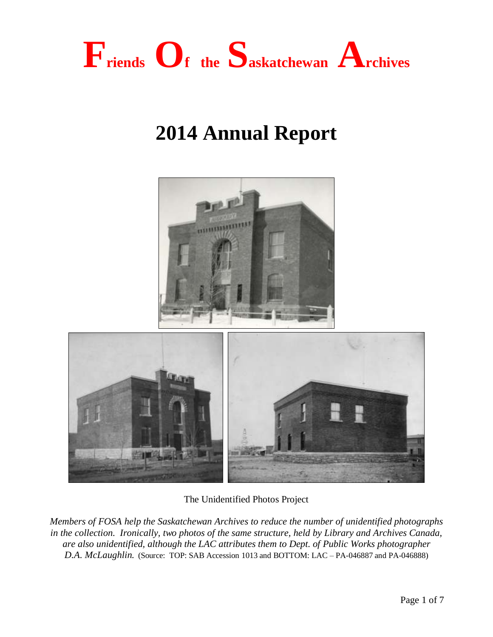

# **2014 Annual Report**



The Unidentified Photos Project

 $\parallel$ 

*Members of FOSA help the Saskatchewan Archives to reduce the number of unidentified photographs in the collection. Ironically, two photos of the same structure, held by Library and Archives Canada, are also unidentified, although the LAC attributes them to Dept. of Public Works photographer D.A. McLaughlin.* (Source: TOP: SAB Accession 1013 and BOTTOM: LAC – PA-046887 and PA-046888)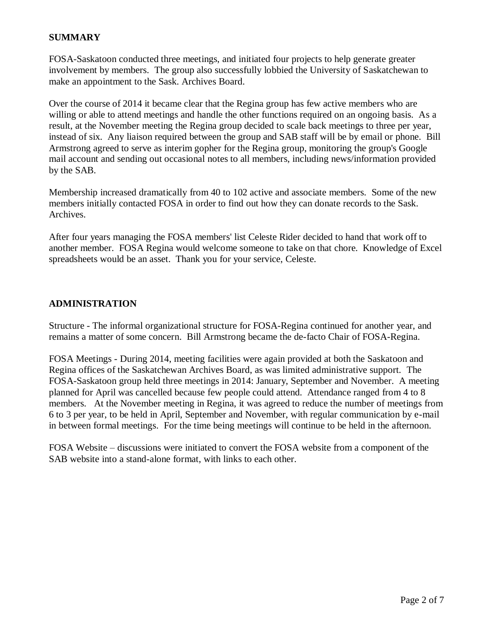# **SUMMARY**

FOSA-Saskatoon conducted three meetings, and initiated four projects to help generate greater involvement by members. The group also successfully lobbied the University of Saskatchewan to make an appointment to the Sask. Archives Board.

Over the course of 2014 it became clear that the Regina group has few active members who are willing or able to attend meetings and handle the other functions required on an ongoing basis. As a result, at the November meeting the Regina group decided to scale back meetings to three per year, instead of six. Any liaison required between the group and SAB staff will be by email or phone. Bill Armstrong agreed to serve as interim gopher for the Regina group, monitoring the group's Google mail account and sending out occasional notes to all members, including news/information provided by the SAB.

Membership increased dramatically from 40 to 102 active and associate members. Some of the new members initially contacted FOSA in order to find out how they can donate records to the Sask. Archives.

After four years managing the FOSA members' list Celeste Rider decided to hand that work off to another member. FOSA Regina would welcome someone to take on that chore. Knowledge of Excel spreadsheets would be an asset. Thank you for your service, Celeste.

### **ADMINISTRATION**

Structure - The informal organizational structure for FOSA-Regina continued for another year, and remains a matter of some concern. Bill Armstrong became the de-facto Chair of FOSA-Regina.

FOSA Meetings - During 2014, meeting facilities were again provided at both the Saskatoon and Regina offices of the Saskatchewan Archives Board, as was limited administrative support. The FOSA-Saskatoon group held three meetings in 2014: January, September and November. A meeting planned for April was cancelled because few people could attend. Attendance ranged from 4 to 8 members. At the November meeting in Regina, it was agreed to reduce the number of meetings from 6 to 3 per year, to be held in April, September and November, with regular communication by e-mail in between formal meetings. For the time being meetings will continue to be held in the afternoon.

FOSA Website – discussions were initiated to convert the FOSA website from a component of the SAB website into a stand-alone format, with links to each other.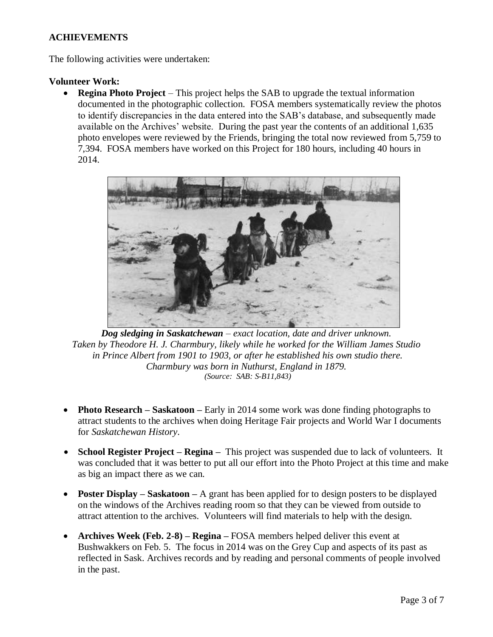# **ACHIEVEMENTS**

The following activities were undertaken:

#### **Volunteer Work:**

 **Regina Photo Project** – This project helps the SAB to upgrade the textual information documented in the photographic collection. FOSA members systematically review the photos to identify discrepancies in the data entered into the SAB's database, and subsequently made available on the Archives' website. During the past year the contents of an additional 1,635 photo envelopes were reviewed by the Friends, bringing the total now reviewed from 5,759 to 7,394. FOSA members have worked on this Project for 180 hours, including 40 hours in 2014.



*Dog sledging in Saskatchewan – exact location, date and driver unknown. Taken by Theodore H. J. Charmbury, likely while he worked for the William James Studio in Prince Albert from 1901 to 1903, or after he established his own studio there. Charmbury was born in Nuthurst, England in 1879. (Source: SAB: S-B11,843)*

- **Photo Research Saskatoon –** Early in 2014 some work was done finding photographs to attract students to the archives when doing Heritage Fair projects and World War I documents for *Saskatchewan History*.
- **School Register Project – Regina –** This project was suspended due to lack of volunteers. It was concluded that it was better to put all our effort into the Photo Project at this time and make as big an impact there as we can.
- **Poster Display Saskatoon –** A grant has been applied for to design posters to be displayed on the windows of the Archives reading room so that they can be viewed from outside to attract attention to the archives. Volunteers will find materials to help with the design.
- **Archives Week (Feb. 2-8) – Regina –** FOSA members helped deliver this event at Bushwakkers on Feb. 5. The focus in 2014 was on the Grey Cup and aspects of its past as reflected in Sask. Archives records and by reading and personal comments of people involved in the past.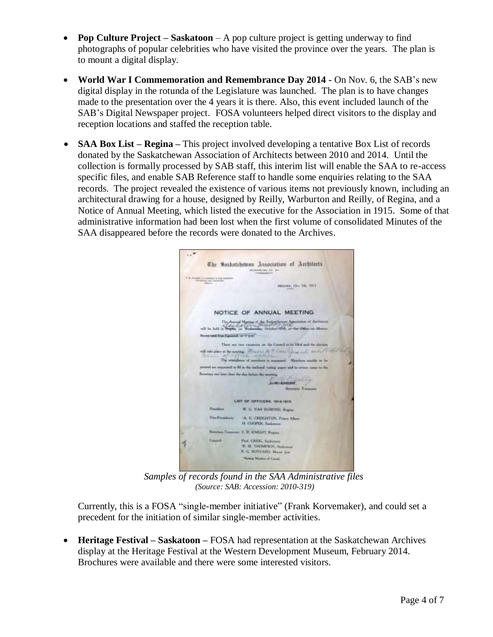- **Pop Culture Project – Saskatoon** A pop culture project is getting underway to find photographs of popular celebrities who have visited the province over the years. The plan is to mount a digital display.
- **World War I Commemoration and Remembrance Day 2014 -** On Nov. 6, the SAB's new digital display in the rotunda of the Legislature was launched. The plan is to have changes made to the presentation over the 4 years it is there. Also, this event included launch of the SAB's Digital Newspaper project. FOSA volunteers helped direct visitors to the display and reception locations and staffed the reception table.
- **SAA Box List – Regina –** This project involved developing a tentative Box List of records donated by the Saskatchewan Association of Architects between 2010 and 2014. Until the collection is formally processed by SAB staff, this interim list will enable the SAA to re-access specific files, and enable SAB Reference staff to handle some enquiries relating to the SAA records. The project revealed the existence of various items not previously known, including an architectural drawing for a house, designed by Reilly, Warburton and Reilly, of Regina, and a Notice of Annual Meeting, which listed the executive for the Association in 1915. Some of that administrative information had been lost when the first volume of consolidated Minutes of the SAA disappeared before the records were donated to the Archives.



*Samples of records found in the SAA Administrative files (Source: SAB: Accession: 2010-319)*

Currently, this is a FOSA "single-member initiative" (Frank Korvemaker), and could set a precedent for the initiation of similar single-member activities.

 **Heritage Festival – Saskatoon –** FOSA had representation at the Saskatchewan Archives display at the Heritage Festival at the Western Development Museum, February 2014. Brochures were available and there were some interested visitors.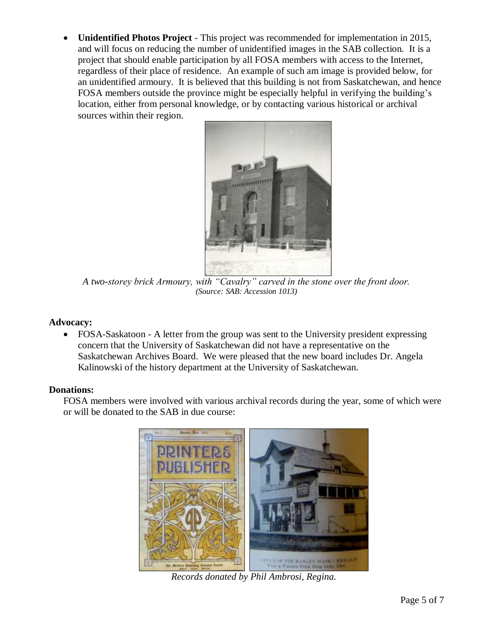**Unidentified Photos Project** - This project was recommended for implementation in 2015, and will focus on reducing the number of unidentified images in the SAB collection. It is a project that should enable participation by all FOSA members with access to the Internet, regardless of their place of residence. An example of such am image is provided below, for an unidentified armoury. It is believed that this building is not from Saskatchewan, and hence FOSA members outside the province might be especially helpful in verifying the building's location, either from personal knowledge, or by contacting various historical or archival sources within their region.



*A two-storey brick Armoury, with "Cavalry" carved in the stone over the front door. (Source: SAB: Accession 1013)*

#### **Advocacy:**

• FOSA-Saskatoon - A letter from the group was sent to the University president expressing concern that the University of Saskatchewan did not have a representative on the Saskatchewan Archives Board. We were pleased that the new board includes Dr. Angela Kalinowski of the history department at the University of Saskatchewan.

#### **Donations:**

FOSA members were involved with various archival records during the year, some of which were or will be donated to the SAB in due course:



*Records donated by Phil Ambrosi, Regina.*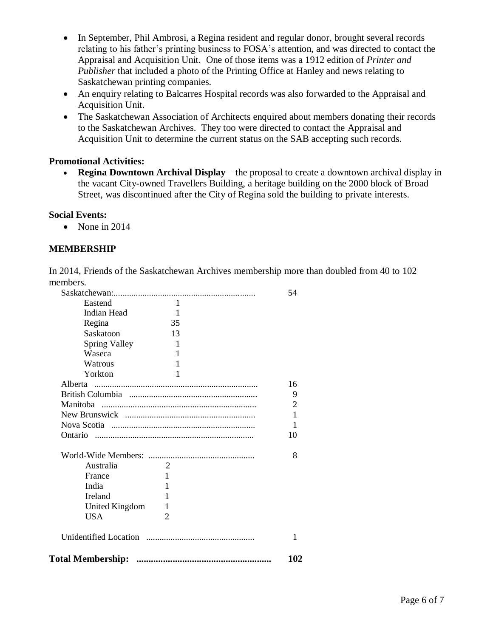- In September, Phil Ambrosi, a Regina resident and regular donor, brought several records relating to his father's printing business to FOSA's attention, and was directed to contact the Appraisal and Acquisition Unit. One of those items was a 1912 edition of *Printer and Publisher* that included a photo of the Printing Office at Hanley and news relating to Saskatchewan printing companies.
- An enquiry relating to Balcarres Hospital records was also forwarded to the Appraisal and Acquisition Unit.
- The Saskatchewan Association of Architects enquired about members donating their records to the Saskatchewan Archives. They too were directed to contact the Appraisal and Acquisition Unit to determine the current status on the SAB accepting such records.

### **Promotional Activities:**

 **Regina Downtown Archival Display** – the proposal to create a downtown archival display in the vacant City-owned Travellers Building, a heritage building on the 2000 block of Broad Street, was discontinued after the City of Regina sold the building to private interests.

#### **Social Events:**

 $\bullet$  None in 2014

# **MEMBERSHIP**

In 2014, Friends of the Saskatchewan Archives membership more than doubled from 40 to 102 members.

|                      |                | 54             |
|----------------------|----------------|----------------|
| Eastend              | $\mathbf{1}$   |                |
| Indian Head          | 1              |                |
| Regina               | 35             |                |
| Saskatoon            | 13             |                |
| <b>Spring Valley</b> | 1              |                |
| Waseca               | 1              |                |
| Watrous              | 1              |                |
| Yorkton              | 1              |                |
|                      |                | 16             |
|                      |                | 9              |
|                      |                | $\overline{2}$ |
|                      |                | $\mathbf{1}$   |
|                      |                | 1              |
|                      |                | 10             |
|                      |                | 8              |
| Australia            | $\overline{2}$ |                |
| France               | 1              |                |
| India                | 1              |                |
| Ireland              | 1              |                |
| United Kingdom       | 1              |                |
| <b>USA</b>           | $\overline{c}$ |                |
|                      |                | 1              |
|                      |                | 102            |